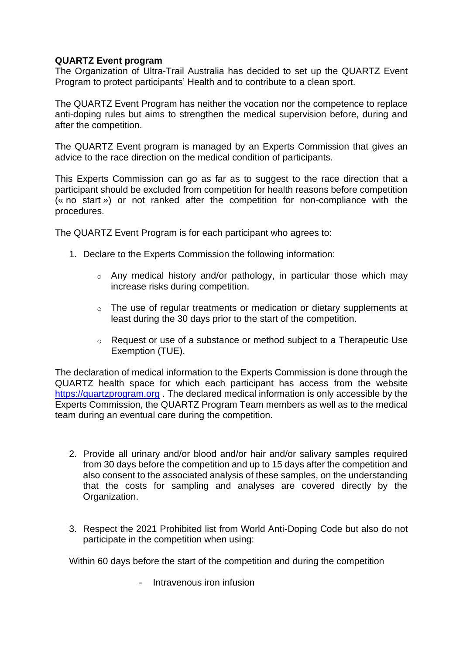## **QUARTZ Event program**

The Organization of Ultra-Trail Australia has decided to set up the QUARTZ Event Program to protect participants' Health and to contribute to a clean sport.

The QUARTZ Event Program has neither the vocation nor the competence to replace anti-doping rules but aims to strengthen the medical supervision before, during and after the competition.

The QUARTZ Event program is managed by an Experts Commission that gives an advice to the race direction on the medical condition of participants.

This Experts Commission can go as far as to suggest to the race direction that a participant should be excluded from competition for health reasons before competition (« no start ») or not ranked after the competition for non-compliance with the procedures.

The QUARTZ Event Program is for each participant who agrees to:

- 1. Declare to the Experts Commission the following information:
	- $\circ$  Any medical history and/or pathology, in particular those which may increase risks during competition.
	- o The use of regular treatments or medication or dietary supplements at least during the 30 days prior to the start of the competition.
	- $\circ$  Request or use of a substance or method subject to a Therapeutic Use Exemption (TUE).

The declaration of medical information to the Experts Commission is done through the QUARTZ health space for which each participant has access from the website [https://quartzprogram.org](https://quartzprogram.org/) . The declared medical information is only accessible by the Experts Commission, the QUARTZ Program Team members as well as to the medical team during an eventual care during the competition.

- 2. Provide all urinary and/or blood and/or hair and/or salivary samples required from 30 days before the competition and up to 15 days after the competition and also consent to the associated analysis of these samples, on the understanding that the costs for sampling and analyses are covered directly by the Organization.
- 3. Respect the 2021 Prohibited list from World Anti-Doping Code but also do not participate in the competition when using:

Within 60 days before the start of the competition and during the competition

- Intravenous iron infusion